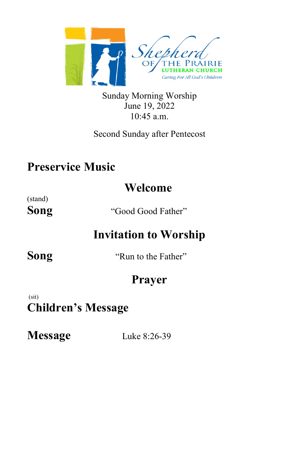

Sunday Morning Worship June 19, 2022 10:45 a.m.

Second Sunday after Pentecost

## **Preservice Music**

# **Welcome**

(stand)

**Song** "Good Good Father"

# **Invitation to Worship**

**Song** "Run to the Father"

# **Prayer**

 (sit) **Children's Message**

**Message** Luke 8:26-39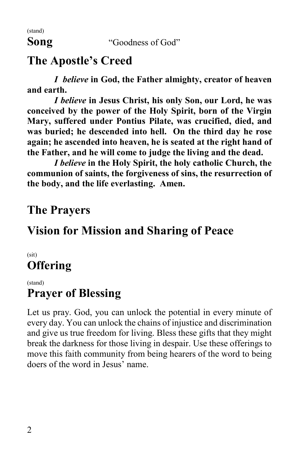(stand)

#### **Song** "Goodness of God"

## **The Apostle's Creed**

*I believe* **in God, the Father almighty, creator of heaven and earth.**

*I believe* **in Jesus Christ, his only Son, our Lord, he was conceived by the power of the Holy Spirit, born of the Virgin Mary, suffered under Pontius Pilate, was crucified, died, and was buried; he descended into hell. On the third day he rose again; he ascended into heaven, he is seated at the right hand of the Father, and he will come to judge the living and the dead.**

*I believe* **in the Holy Spirit, the holy catholic Church, the communion of saints, the forgiveness of sins, the resurrection of the body, and the life everlasting. Amen.**

## **The Prayers**

## **Vision for Mission and Sharing of Peace**

(sit) **Offering**

(stand)

## **Prayer of Blessing**

Let us pray. God, you can unlock the potential in every minute of every day. You can unlock the chains of injustice and discrimination and give us true freedom for living. Bless these gifts that they might break the darkness for those living in despair. Use these offerings to move this faith community from being hearers of the word to being doers of the word in Jesus' name.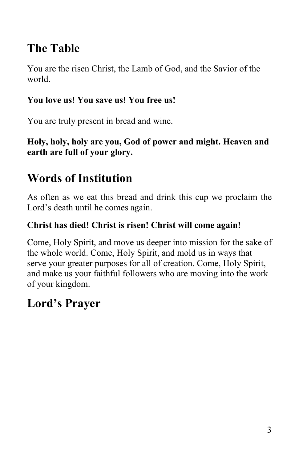# **The Table**

You are the risen Christ, the Lamb of God, and the Savior of the world.

#### **You love us! You save us! You free us!**

You are truly present in bread and wine.

**Holy, holy, holy are you, God of power and might. Heaven and earth are full of your glory.**

# **Words of Institution**

As often as we eat this bread and drink this cup we proclaim the Lord's death until he comes again.

#### **Christ has died! Christ is risen! Christ will come again!**

Come, Holy Spirit, and move us deeper into mission for the sake of the whole world. Come, Holy Spirit, and mold us in ways that serve your greater purposes for all of creation. Come, Holy Spirit, and make us your faithful followers who are moving into the work of your kingdom.

# **Lord's Prayer**